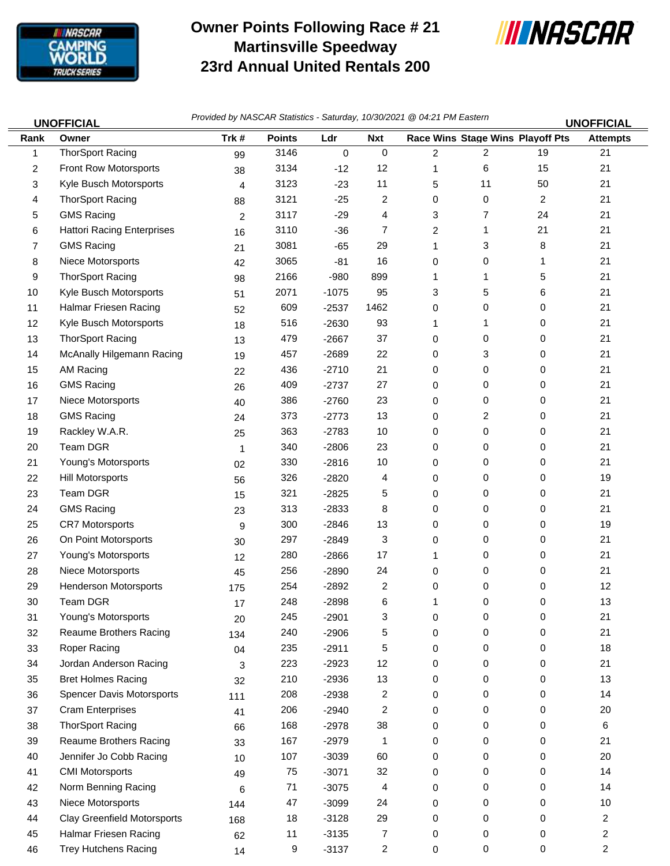

## **Owner Points Following Race # 21 Martinsville Speedway 23rd Annual United Rentals 200**



46 Trey Hutchens Racing 2 14 9 -3137 2 0 0 0 2